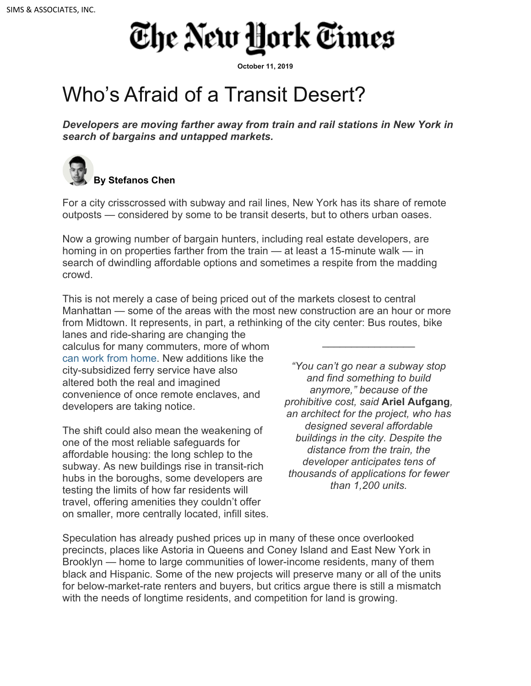# The New York Times

**October 11, 2019**

## Who's Afraid of a Transit Desert?

*Developers are moving farther away from train and rail stations in New York in search of bargains and untapped markets.*



For a city crisscrossed with subway and rail lines, New York has its share of remote outposts — considered by some to be transit deserts, but to others urban oases.

Now a growing number of bargain hunters, including real estate developers, are homing in on properties farther from the train — at least a 15-minute walk — in search of dwindling affordable options and sometimes a respite from the madding crowd.

This is not merely a case of being priced out of the markets closest to central Manhattan — some of the areas with the most new construction are an hour or more from Midtown. It represents, in part, a rethinking of the city center: Bus routes, bike

lanes and ride-sharing are changing the calculus for many commuters, more of whom [can work from home.](https://www.nytimes.com/2019/09/20/realestate/how-telecommuting-has-changed-real-estate.html?module=inline) New additions like the city-subsidized ferry service have also altered both the real and imagined convenience of once remote enclaves, and developers are taking notice.

The shift could also mean the weakening of one of the most reliable safeguards for affordable housing: the long schlep to the subway. As new buildings rise in transit-rich hubs in the boroughs, some developers are testing the limits of how far residents will travel, offering amenities they couldn't offer on smaller, more centrally located, infill sites.

*"You can't go near a subway stop and find something to build anymore," because of the prohibitive cost, said* **Ariel Aufgang***, an architect for the project, who has designed several affordable buildings in the city. Despite the distance from the train, the developer anticipates tens of thousands of applications for fewer than 1,200 units.*

\_\_\_\_\_\_\_\_\_\_\_\_\_\_\_\_

Speculation has already pushed prices up in many of these once overlooked precincts, places like Astoria in Queens and Coney Island and East New York in Brooklyn — home to large communities of lower-income residents, many of them black and Hispanic. Some of the new projects will preserve many or all of the units for below-market-rate renters and buyers, but critics argue there is still a mismatch with the needs of longtime residents, and competition for land is growing.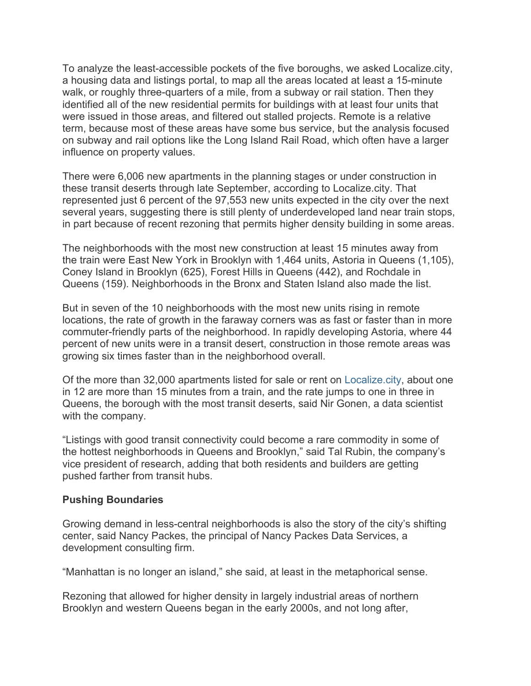To analyze the least-accessible pockets of the five boroughs, we asked Localize.city, a housing data and listings portal, to map all the areas located at least a 15-minute walk, or roughly three-quarters of a mile, from a subway or rail station. Then they identified all of the new residential permits for buildings with at least four units that were issued in those areas, and filtered out stalled projects. Remote is a relative term, because most of these areas have some bus service, but the analysis focused on subway and rail options like the Long Island Rail Road, which often have a larger influence on property values.

There were 6,006 new apartments in the planning stages or under construction in these transit deserts through late September, according to Localize.city. That represented just 6 percent of the 97,553 new units expected in the city over the next several years, suggesting there is still plenty of underdeveloped land near train stops, in part because of recent rezoning that permits higher density building in some areas.

The neighborhoods with the most new construction at least 15 minutes away from the train were East New York in Brooklyn with 1,464 units, Astoria in Queens (1,105), Coney Island in Brooklyn (625), Forest Hills in Queens (442), and Rochdale in Queens (159). Neighborhoods in the Bronx and Staten Island also made the list.

But in seven of the 10 neighborhoods with the most new units rising in remote locations, the rate of growth in the faraway corners was as fast or faster than in more commuter-friendly parts of the neighborhood. In rapidly developing Astoria, where 44 percent of new units were in a transit desert, construction in those remote areas was growing six times faster than in the neighborhood overall.

Of the more than 32,000 apartments listed for sale or rent on [Localize.city,](https://www.localize.city/) about one in 12 are more than 15 minutes from a train, and the rate jumps to one in three in Queens, the borough with the most transit deserts, said Nir Gonen, a data scientist with the company.

"Listings with good transit connectivity could become a rare commodity in some of the hottest neighborhoods in Queens and Brooklyn," said Tal Rubin, the company's vice president of research, adding that both residents and builders are getting pushed farther from transit hubs.

### **Pushing Boundaries**

Growing demand in less-central neighborhoods is also the story of the city's shifting center, said Nancy Packes, the principal of Nancy Packes Data Services, a development consulting firm.

"Manhattan is no longer an island," she said, at least in the metaphorical sense.

Rezoning that allowed for higher density in largely industrial areas of northern Brooklyn and western Queens began in the early 2000s, and not long after,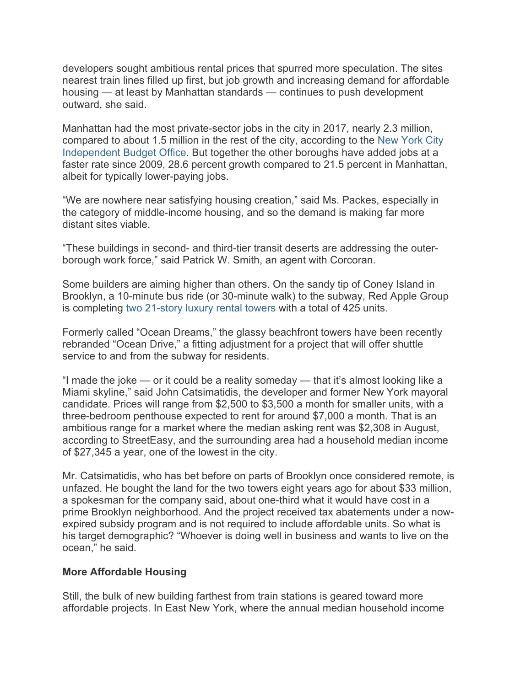developers sought ambitious rental prices that spurred more speculation. The sites nearest train lines filled up first, but job growth and increasing demand for affordable housing — at least by Manhattan standards — continues to push development outward, she said.

Manhattan had the most private-sector jobs in the city in 2017, nearly 2.3 million, compared to about 1.5 million in the rest of the city, according to the [New York City](https://ibo.nyc.ny.us/cgi-park2/2019/06/private-sector-employment-wage-growth-in-new-york-city-where-are-the-jobs/)  [Independent Budget Office.](https://ibo.nyc.ny.us/cgi-park2/2019/06/private-sector-employment-wage-growth-in-new-york-city-where-are-the-jobs/) But together the other boroughs have added jobs at a faster rate since 2009, 28.6 percent growth compared to 21.5 percent in Manhattan, albeit for typically lower-paying jobs.

"We are nowhere near satisfying housing creation," said Ms. Packes, especially in the category of middle-income housing, and so the demand is making far more distant sites viable.

"These buildings in second- and third-tier transit deserts are addressing the outerborough work force," said Patrick W. Smith, an agent with Corcoran.

Some builders are aiming higher than others. On the sandy tip of Coney Island in Brooklyn, a 10-minute bus ride (or 30-minute walk) to the subway, Red Apple Group is completing [two 21-story luxury rental towers](https://www.nytimes.com/2018/10/12/realestate/a-supermarket-king-expands-his-inventory.html?module=inline) with a total of 425 units.

Formerly called "Ocean Dreams," the glassy beachfront towers have been recently rebranded "Ocean Drive," a fitting adjustment for a project that will offer shuttle service to and from the subway for residents.

"I made the joke — or it could be a reality someday — that it's almost looking like a Miami skyline," said John Catsimatidis, the developer and former New York mayoral candidate. Prices will range from \$2,500 to \$3,500 a month for smaller units, with a three-bedroom penthouse expected to rent for around \$7,000 a month. That is an ambitious range for a market where the median asking rent was \$2,308 in August, according to StreetEasy, and the surrounding area had a household median income of \$27,345 a year, one of the lowest in the city.

Mr. Catsimatidis, who has bet before on parts of Brooklyn once considered remote, is unfazed. He bought the land for the two towers eight years ago for about \$33 million, a spokesman for the company said, about one-third what it would have cost in a prime Brooklyn neighborhood. And the project received tax abatements under a nowexpired subsidy program and is not required to include affordable units. So what is his target demographic? "Whoever is doing well in business and wants to live on the ocean," he said.

### **More Affordable Housing**

Still, the bulk of new building farthest from train stations is geared toward more affordable projects. In East New York, where the annual median household income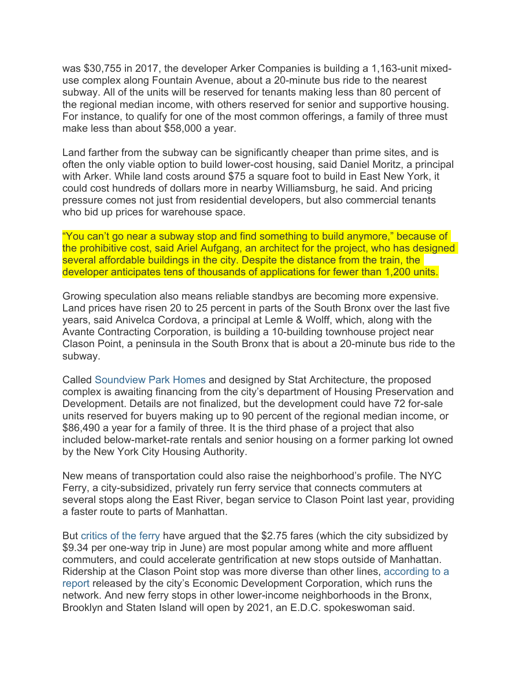was \$30,755 in 2017, the developer Arker Companies is building a 1,163-unit mixeduse complex along Fountain Avenue, about a 20-minute bus ride to the nearest subway. All of the units will be reserved for tenants making less than 80 percent of the regional median income, with others reserved for senior and supportive housing. For instance, to qualify for one of the most common offerings, a family of three must make less than about \$58,000 a year.

Land farther from the subway can be significantly cheaper than prime sites, and is often the only viable option to build lower-cost housing, said Daniel Moritz, a principal with Arker. While land costs around \$75 a square foot to build in East New York, it could cost hundreds of dollars more in nearby Williamsburg, he said. And pricing pressure comes not just from residential developers, but also commercial tenants who bid up prices for warehouse space.

"You can't go near a subway stop and find something to build anymore," because of the prohibitive cost, said Ariel Aufgang, an architect for the project, who has designed several affordable buildings in the city. Despite the distance from the train, the developer anticipates tens of thousands of applications for fewer than 1,200 units.

Growing speculation also means reliable standbys are becoming more expensive. Land prices have risen 20 to 25 percent in parts of the South Bronx over the last five years, said Anivelca Cordova, a principal at Lemle & Wolff, which, along with the Avante Contracting Corporation, is building a 10-building townhouse project near Clason Point, a peninsula in the South Bronx that is about a 20-minute bus ride to the subway.

Called [Soundview Park Homes](http://www.statarchitecture.com/projects) and designed by Stat Architecture, the proposed complex is awaiting financing from the city's department of Housing Preservation and Development. Details are not finalized, but the development could have 72 for-sale units reserved for buyers making up to 90 percent of the regional median income, or \$86,490 a year for a family of three. It is the third phase of a project that also included below-market-rate rentals and senior housing on a former parking lot owned by the New York City Housing Authority.

New means of transportation could also raise the neighborhood's profile. The NYC Ferry, a city-subsidized, privately run ferry service that connects commuters at several stops along the East River, began service to Clason Point last year, providing a faster route to parts of Manhattan.

But [critics of the ferry](https://www.nytimes.com/2019/04/17/nyregion/new-york-ferry.html?module=inline) have argued that the \$2.75 fares (which the city subsidized by \$9.34 per one-way trip in June) are most popular among white and more affluent commuters, and could accelerate gentrification at new stops outside of Manhattan. Ridership at the Clason Point stop was more diverse than other lines, [according to a](https://images.ferry.nyc/wp-content/uploads/2019/10/01145102/NYC-Ferry-Summer-2019-Survey-Results.pdf)  [report](https://images.ferry.nyc/wp-content/uploads/2019/10/01145102/NYC-Ferry-Summer-2019-Survey-Results.pdf) released by the city's Economic Development Corporation, which runs the network. And new ferry stops in other lower-income neighborhoods in the Bronx, Brooklyn and Staten Island will open by 2021, an E.D.C. spokeswoman said.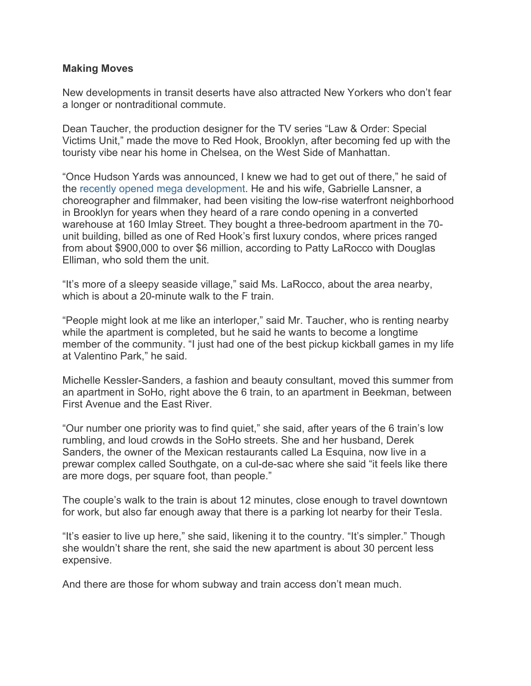#### **Making Moves**

New developments in transit deserts have also attracted New Yorkers who don't fear a longer or nontraditional commute.

Dean Taucher, the production designer for the TV series "Law & Order: Special Victims Unit," made the move to Red Hook, Brooklyn, after becoming fed up with the touristy vibe near his home in Chelsea, on the West Side of Manhattan.

"Once Hudson Yards was announced, I knew we had to get out of there," he said of the [recently opened mega development.](https://www.nytimes.com/interactive/2019/03/14/arts/design/hudson-yards-nyc.html?module=inline) He and his wife, Gabrielle Lansner, a choreographer and filmmaker, had been visiting the low-rise waterfront neighborhood in Brooklyn for years when they heard of a rare condo opening in a converted warehouse at 160 Imlay Street. They bought a three-bedroom apartment in the 70 unit building, billed as one of Red Hook's first luxury condos, where prices ranged from about \$900,000 to over \$6 million, according to Patty LaRocco with Douglas Elliman, who sold them the unit.

"It's more of a sleepy seaside village," said Ms. LaRocco, about the area nearby, which is about a 20-minute walk to the F train.

"People might look at me like an interloper," said Mr. Taucher, who is renting nearby while the apartment is completed, but he said he wants to become a longtime member of the community. "I just had one of the best pickup kickball games in my life at Valentino Park," he said.

Michelle Kessler-Sanders, a fashion and beauty consultant, moved this summer from an apartment in SoHo, right above the 6 train, to an apartment in Beekman, between First Avenue and the East River.

"Our number one priority was to find quiet," she said, after years of the 6 train's low rumbling, and loud crowds in the SoHo streets. She and her husband, Derek Sanders, the owner of the Mexican restaurants called La Esquina, now live in a prewar complex called Southgate, on a cul-de-sac where she said "it feels like there are more dogs, per square foot, than people."

The couple's walk to the train is about 12 minutes, close enough to travel downtown for work, but also far enough away that there is a parking lot nearby for their Tesla.

"It's easier to live up here," she said, likening it to the country. "It's simpler." Though she wouldn't share the rent, she said the new apartment is about 30 percent less expensive.

And there are those for whom subway and train access don't mean much.